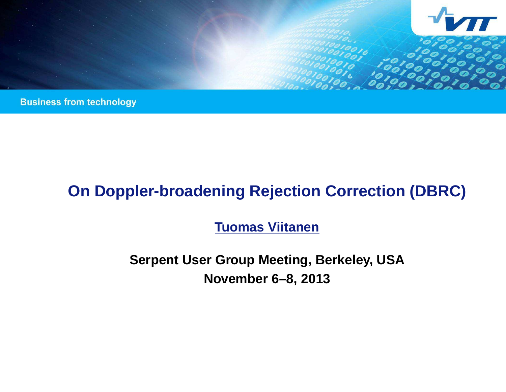

**Business from technology** 

# **On Doppler-broadening Rejection Correction (DBRC)**

**Tuomas Viitanen**

**Serpent User Group Meeting, Berkeley, USA November 6–8, 2013**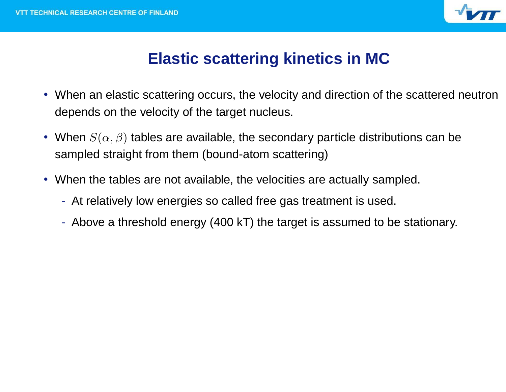

# **Elastic scattering kinetics in MC**

- When an elastic scattering occurs, the velocity and direction of the scattered neutron depends on the velocity of the target nucleus.
- When  $S(\alpha,\beta)$  tables are available, the secondary particle distributions can be sampled straight from them (bound-atom scattering)
- When the tables are not available, the velocities are actually sampled.
	- At relatively low energies so called free gas treatment is used.
	- Above <sup>a</sup> threshold energy (400 kT) the target is assumed to be stationary.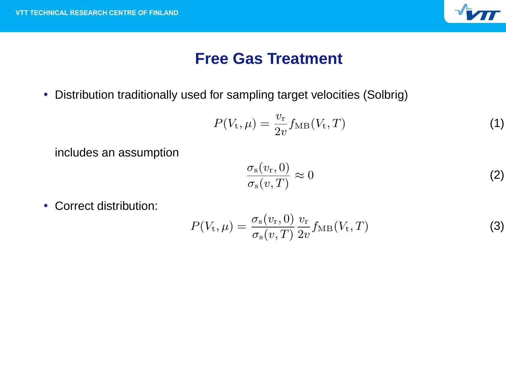

### **Free Gas Treatment**

• Distribution traditionally used for sampling target velocities (Solbrig)

$$
P(Vt, \mu) = \frac{v_{\rm r}}{2v} f_{\rm MB}(V_{\rm t}, T)
$$
\n(1)

includes an assumption

$$
\frac{\sigma_{\rm s}(v_{\rm r},0)}{\sigma_{\rm s}(v,T)} \approx 0 \tag{2}
$$

• Correct distribution:

$$
P(Vt, \mu) = \frac{\sigma_{\rm s}(v_{\rm r}, 0)}{\sigma_{\rm s}(v, T)} \frac{v_{\rm r}}{2v} f_{\rm MB}(V_{\rm t}, T)
$$
(3)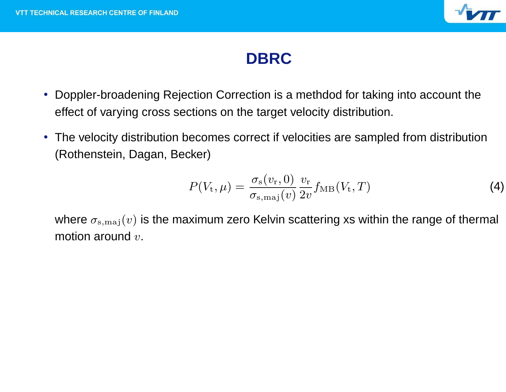

# **DBRC**

- Doppler-broadening Rejection Correction is <sup>a</sup> methdod for taking into account the effect of varying cross sections on the target velocity distribution.
- The velocity distribution becomes correct if velocities are sampled from distribution (Rothenstein, Dagan, Becker)

$$
P(Vt, \mu) = \frac{\sigma_{\rm s}(v_{\rm r}, 0)}{\sigma_{\rm s,maj}(v)} \frac{v_{\rm r}}{2v} f_{\rm MB}(V_{\rm t}, T)
$$
(4)

where  $\sigma_{s,maj}(v)$  is the maximum zero Kelvin scattering xs within the range of thermal motion around  $v$ .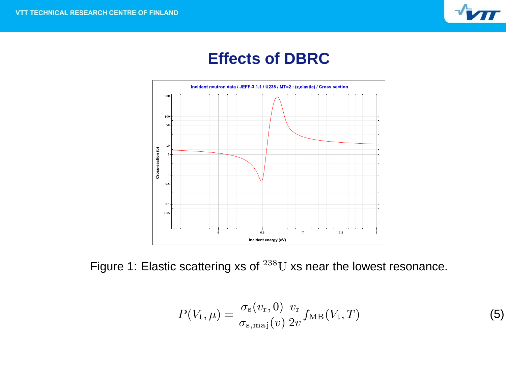

## **Effects of DBRC**



Figure 1: Elastic scattering xs of  $^{238}$ U xs near the lowest resonance.

$$
P(Vt, \mu) = \frac{\sigma_{\rm s}(v_{\rm r}, 0)}{\sigma_{\rm s,maj}(v)} \frac{v_{\rm r}}{2v} f_{\rm MB}(V_{\rm t}, T)
$$
(5)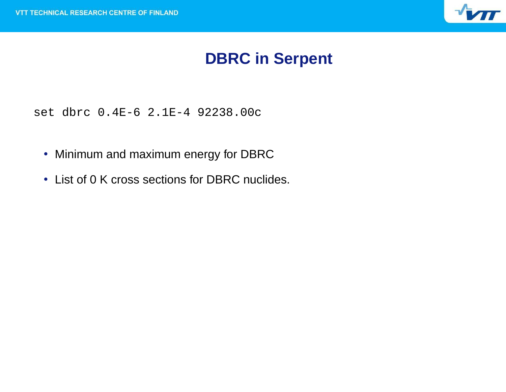

# **DBRC in Serpent**

set dbrc 0.4E-6 2.1E-4 92238.00c

- Minimum and maximum energy for DBRC
- List of 0 K cross sections for DBRC nuclides.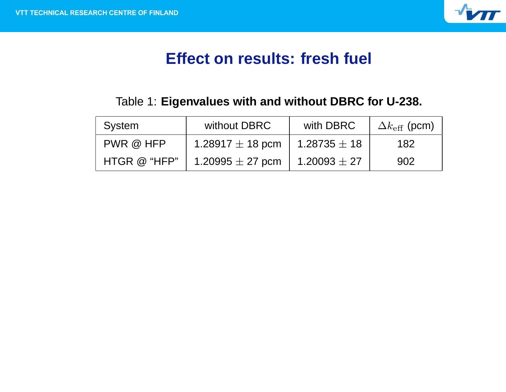

# **Effect on results: fresh fuel**

#### Table 1: **Eigenvalues with and without DBRC for U-238.**

| System       | without DBRC         | with DBRC        | $\Delta k_{\text{eff}}$ (pcm) |
|--------------|----------------------|------------------|-------------------------------|
| PWR @ HFP    | 1.28917 $\pm$ 18 pcm | 1.28735 $\pm$ 18 | 182                           |
| HTGR @ "HFP" | 1.20995 $\pm$ 27 pcm | $1.20093 \pm 27$ | 902                           |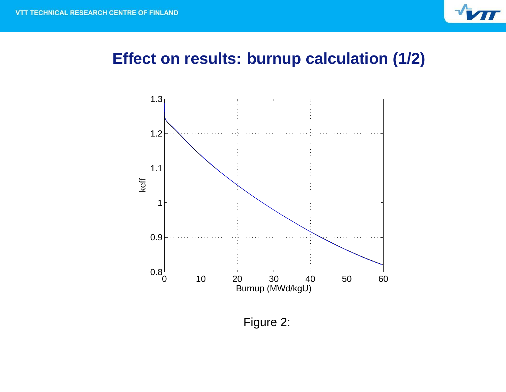

## **Effect on results: burnup calculation (1/2)**



Figure 2: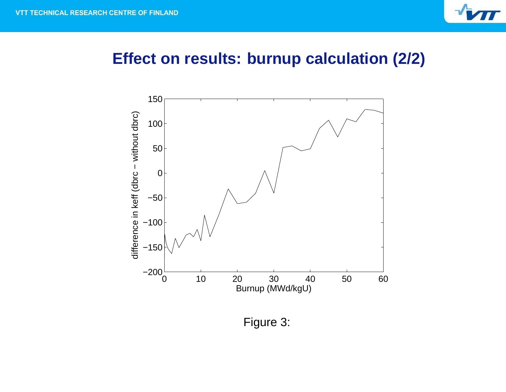

#### **Effect on results: burnup calculation (2/2)**



Figure 3: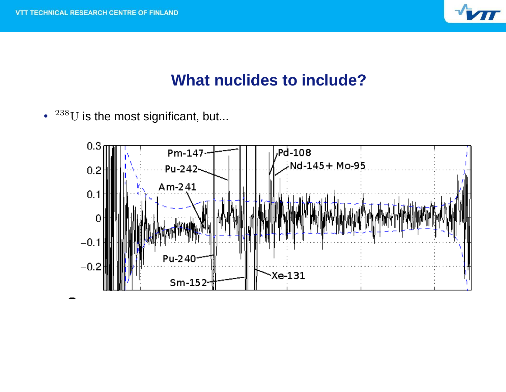

### **What nuclides to include?**

 $\cdot$   $^{238}{\rm U}$  is the most significant, but...